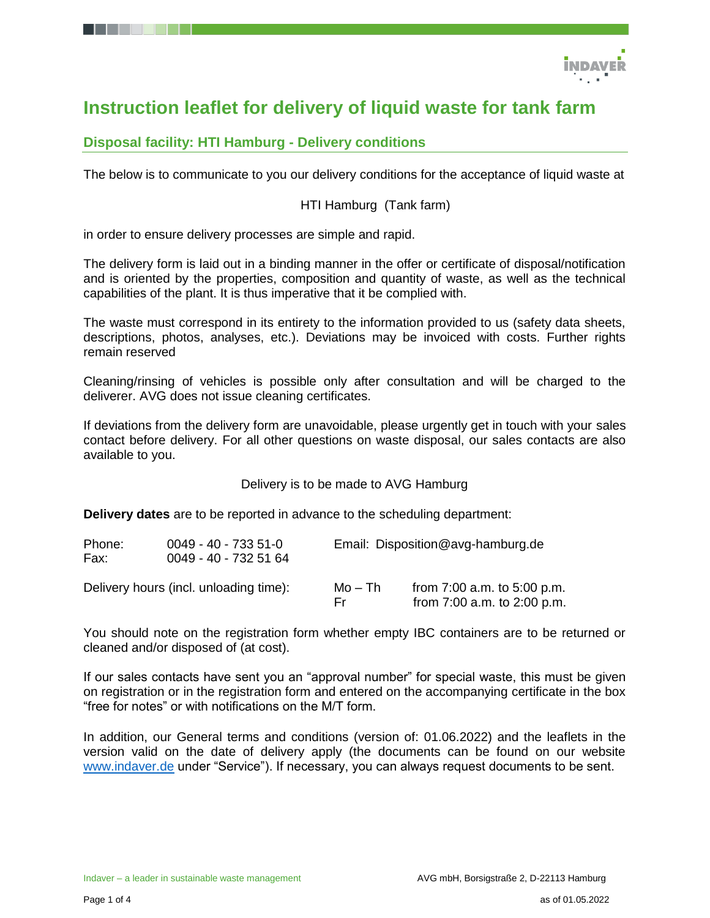

# **Instruction leaflet for delivery of liquid waste for tank farm**

### **Disposal facility: HTI Hamburg - Delivery conditions**

The below is to communicate to you our delivery conditions for the acceptance of liquid waste at

#### HTI Hamburg (Tank farm)

in order to ensure delivery processes are simple and rapid.

The delivery form is laid out in a binding manner in the offer or certificate of disposal/notification and is oriented by the properties, composition and quantity of waste, as well as the technical capabilities of the plant. It is thus imperative that it be complied with.

The waste must correspond in its entirety to the information provided to us (safety data sheets, descriptions, photos, analyses, etc.). Deviations may be invoiced with costs. Further rights remain reserved

Cleaning/rinsing of vehicles is possible only after consultation and will be charged to the deliverer. AVG does not issue cleaning certificates.

If deviations from the delivery form are unavoidable, please urgently get in touch with your sales contact before delivery. For all other questions on waste disposal, our sales contacts are also available to you.

Delivery is to be made to AVG Hamburg

**Delivery dates** are to be reported in advance to the scheduling department:

| Phone:<br>Fax: | $0049 - 40 - 7335 - 51 - 0$<br>0049 - 40 - 732 51 64 | Email: Disposition@avg-hamburg.de |                                                                    |
|----------------|------------------------------------------------------|-----------------------------------|--------------------------------------------------------------------|
|                | Delivery hours (incl. unloading time):               | Mo – Th<br>Fr.                    | from $7:00$ a.m. to $5:00$ p.m.<br>from $7:00$ a.m. to $2:00$ p.m. |

You should note on the registration form whether empty IBC containers are to be returned or cleaned and/or disposed of (at cost).

If our sales contacts have sent you an "approval number" for special waste, this must be given on registration or in the registration form and entered on the accompanying certificate in the box "free for notes" or with notifications on the M/T form.

In addition, our General terms and conditions (version of: 01.06.2022) and the leaflets in the version valid on the date of delivery apply (the documents can be found on our website [www.indaver.de](http://www.indaver.de/) under "Service"). If necessary, you can always request documents to be sent.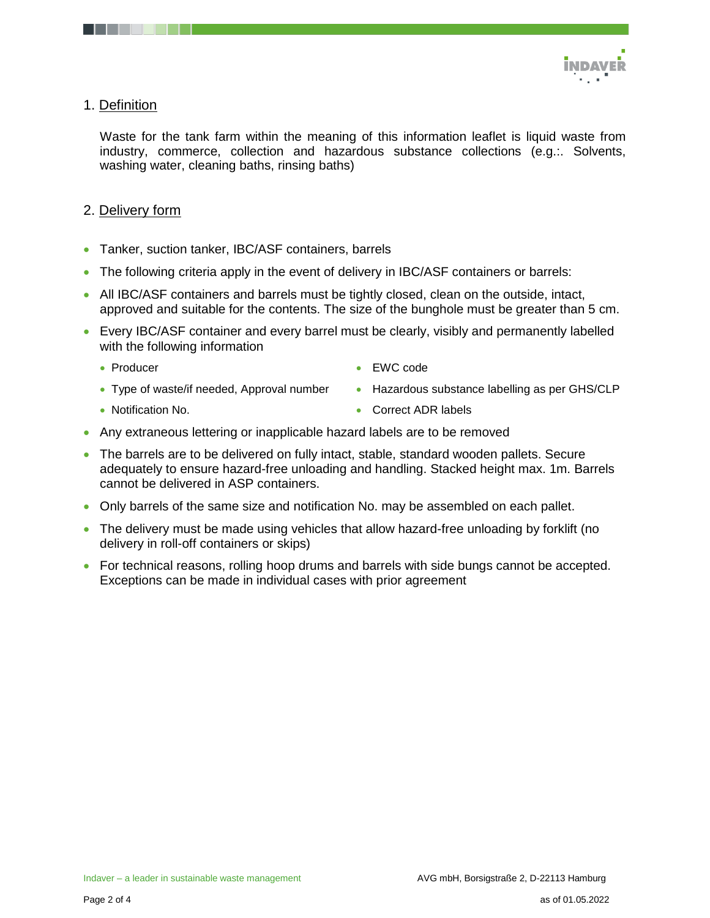

#### 1. Definition

Waste for the tank farm within the meaning of this information leaflet is liquid waste from industry, commerce, collection and hazardous substance collections (e.g.:. Solvents, washing water, cleaning baths, rinsing baths)

#### 2. Delivery form

- Tanker, suction tanker, IBC/ASF containers, barrels
- The following criteria apply in the event of delivery in IBC/ASF containers or barrels:
- All IBC/ASF containers and barrels must be tightly closed, clean on the outside, intact, approved and suitable for the contents. The size of the bunghole must be greater than 5 cm.
- Every IBC/ASF container and every barrel must be clearly, visibly and permanently labelled with the following information
	- Producer
- EWC code
- Type of waste/if needed, Approval number
- Notification No.

• Correct ADR labels

• Hazardous substance labelling as per GHS/CLP

- Any extraneous lettering or inapplicable hazard labels are to be removed
- The barrels are to be delivered on fully intact, stable, standard wooden pallets. Secure adequately to ensure hazard-free unloading and handling. Stacked height max. 1m. Barrels cannot be delivered in ASP containers.
- Only barrels of the same size and notification No. may be assembled on each pallet.
- The delivery must be made using vehicles that allow hazard-free unloading by forklift (no delivery in roll-off containers or skips)
- For technical reasons, rolling hoop drums and barrels with side bungs cannot be accepted. Exceptions can be made in individual cases with prior agreement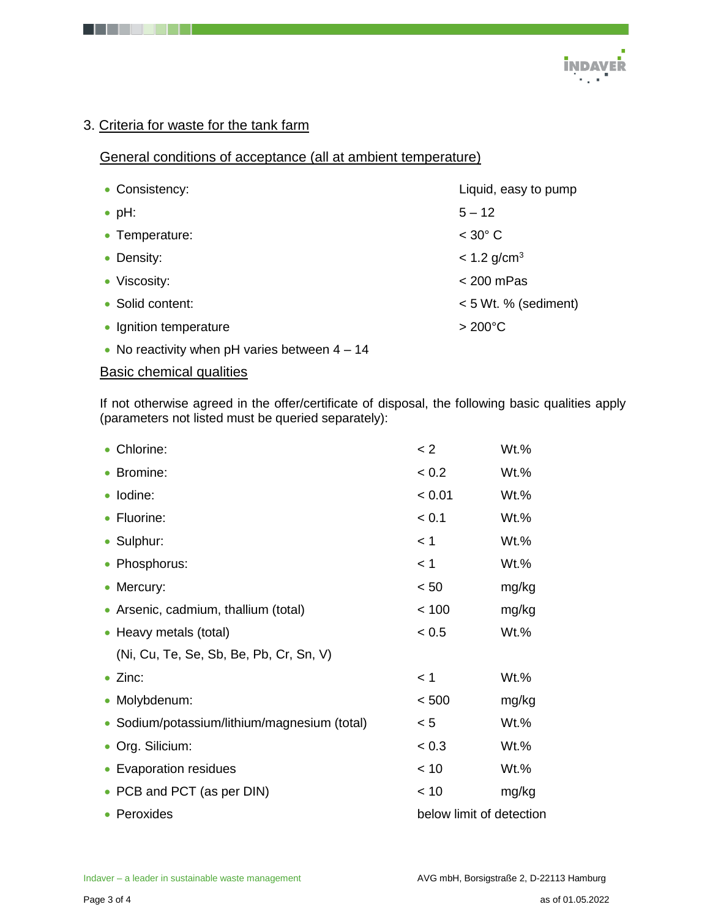

## 3. Criteria for waste for the tank farm

## General conditions of acceptance (all at ambient temperature)

| • Consistency:         | Liquid, easy to pump      |
|------------------------|---------------------------|
| $\bullet$ pH:          | $5 - 12$                  |
| • Temperature:         | $<$ 30 $^{\circ}$ C       |
| • Density:             | $< 1.2$ g/cm <sup>3</sup> |
| • Viscosity:           | $<$ 200 mPas              |
| • Solid content:       | $< 5$ Wt. % (sediment)    |
| • Ignition temperature | $>200^{\circ}$ C          |
|                        |                           |

• No reactivity when pH varies between  $4 - 14$ 

#### Basic chemical qualities

If not otherwise agreed in the offer/certificate of disposal, the following basic qualities apply (parameters not listed must be queried separately):

| • Chlorine:                                  | < 2                      | Wt.%    |
|----------------------------------------------|--------------------------|---------|
| • Bromine:                                   | < 0.2                    | $Wt.$ % |
| · Iodine:                                    | < 0.01                   | $Wt.$ % |
| • Fluorine:                                  | < 0.1                    | $Wt.$ % |
| • Sulphur:                                   | < 1                      | Wt.%    |
| • Phosphorus:                                | < 1                      | Wt.%    |
| • Mercury:                                   | < 50                     | mg/kg   |
| • Arsenic, cadmium, thallium (total)         | < 100                    | mg/kg   |
| • Heavy metals (total)                       | < 0.5                    | Wt.%    |
| (Ni, Cu, Te, Se, Sb, Be, Pb, Cr, Sn, V)      |                          |         |
| $\bullet$ Zinc:                              | < 1                      | Wt.%    |
| • Molybdenum:                                | < 500                    | mg/kg   |
| • Sodium/potassium/lithium/magnesium (total) | < 5                      | $Wt.$ % |
| • Org. Silicium:                             | < 0.3                    | $Wt.$ % |
| • Evaporation residues                       | < 10                     | Wt.%    |
| • PCB and PCT (as per DIN)                   | < 10                     | mg/kg   |
| • Peroxides                                  | below limit of detection |         |